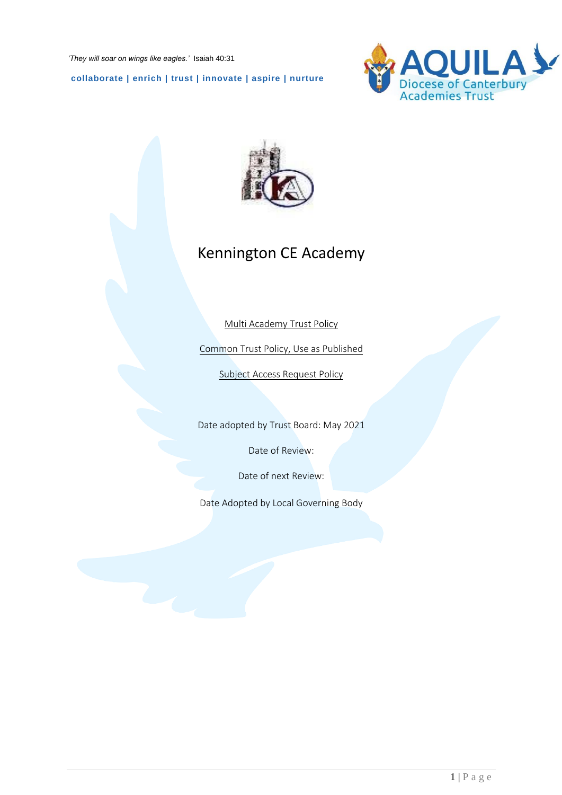**collaborate | enrich | trust | innovate | aspire | nurture**





# Kennington CE Academy

Multi Academy Trust Policy

Common Trust Policy, Use as Published

Subject Access Request Policy

Date adopted by Trust Board: May 2021

Date of Review:

Date of next Review:

Date Adopted by Local Governing Body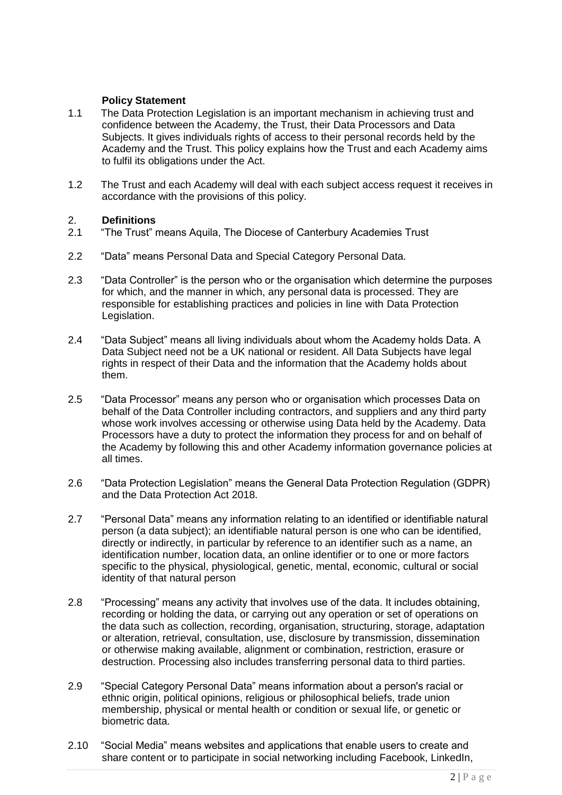## **Policy Statement**

- 1.1 The Data Protection Legislation is an important mechanism in achieving trust and confidence between the Academy, the Trust, their Data Processors and Data Subjects. It gives individuals rights of access to their personal records held by the Academy and the Trust. This policy explains how the Trust and each Academy aims to fulfil its obligations under the Act.
- 1.2 The Trust and each Academy will deal with each subject access request it receives in accordance with the provisions of this policy.

# 2. **Definitions**

- "The Trust" means Aquila, The Diocese of Canterbury Academies Trust
- 2.2 "Data" means Personal Data and Special Category Personal Data.
- 2.3 "Data Controller" is the person who or the organisation which determine the purposes for which, and the manner in which, any personal data is processed. They are responsible for establishing practices and policies in line with Data Protection Legislation.
- 2.4 "Data Subject" means all living individuals about whom the Academy holds Data. A Data Subject need not be a UK national or resident. All Data Subjects have legal rights in respect of their Data and the information that the Academy holds about them.
- 2.5 "Data Processor" means any person who or organisation which processes Data on behalf of the Data Controller including contractors, and suppliers and any third party whose work involves accessing or otherwise using Data held by the Academy. Data Processors have a duty to protect the information they process for and on behalf of the Academy by following this and other Academy information governance policies at all times.
- 2.6 "Data Protection Legislation" means the General Data Protection Regulation (GDPR) and the Data Protection Act 2018.
- 2.7 "Personal Data" means any information relating to an identified or identifiable natural person (a data subject); an identifiable natural person is one who can be identified, directly or indirectly, in particular by reference to an identifier such as a name, an identification number, location data, an online identifier or to one or more factors specific to the physical, physiological, genetic, mental, economic, cultural or social identity of that natural person
- 2.8 "Processing" means any activity that involves use of the data. It includes obtaining, recording or holding the data, or carrying out any operation or set of operations on the data such as collection, recording, organisation, structuring, storage, adaptation or alteration, retrieval, consultation, use, disclosure by transmission, dissemination or otherwise making available, alignment or combination, restriction, erasure or destruction. Processing also includes transferring personal data to third parties.
- 2.9 "Special Category Personal Data" means information about a person's racial or ethnic origin, political opinions, religious or philosophical beliefs, trade union membership, physical or mental health or condition or sexual life, or genetic or biometric data.
- 2.10 "Social Media" means websites and applications that enable users to create and share content or to participate in social networking including Facebook, LinkedIn,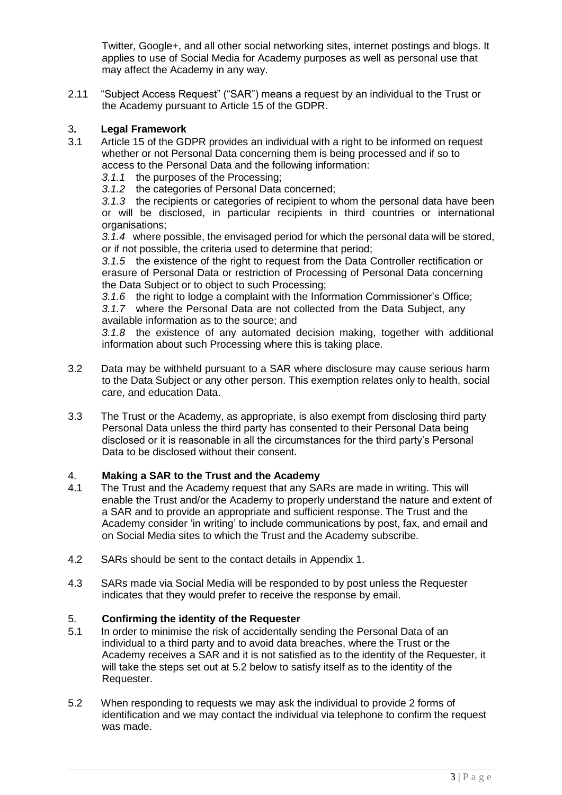Twitter, Google+, and all other social networking sites, internet postings and blogs. It applies to use of Social Media for Academy purposes as well as personal use that may affect the Academy in any way.

2.11 "Subject Access Request" ("SAR") means a request by an individual to the Trust or the Academy pursuant to Article 15 of the GDPR.

#### 3**. Legal Framework**

- 3.1 Article 15 of the GDPR provides an individual with a right to be informed on request whether or not Personal Data concerning them is being processed and if so to access to the Personal Data and the following information:
	- *3.1.1* the purposes of the Processing;
	- *3.1.2* the categories of Personal Data concerned;

*3.1.3* the recipients or categories of recipient to whom the personal data have been or will be disclosed, in particular recipients in third countries or international organisations;

*3.1.4* where possible, the envisaged period for which the personal data will be stored, or if not possible, the criteria used to determine that period;

*3.1.5* the existence of the right to request from the Data Controller rectification or erasure of Personal Data or restriction of Processing of Personal Data concerning the Data Subject or to object to such Processing;

*3.1.6* the right to lodge a complaint with the Information Commissioner's Office;

*3.1.7* where the Personal Data are not collected from the Data Subject, any available information as to the source; and

*3.1.8* the existence of any automated decision making, together with additional information about such Processing where this is taking place.

- 3.2 Data may be withheld pursuant to a SAR where disclosure may cause serious harm to the Data Subject or any other person. This exemption relates only to health, social care, and education Data.
- 3.3 The Trust or the Academy, as appropriate, is also exempt from disclosing third party Personal Data unless the third party has consented to their Personal Data being disclosed or it is reasonable in all the circumstances for the third party's Personal Data to be disclosed without their consent.

# 4. **Making a SAR to the Trust and the Academy**

- 4.1 The Trust and the Academy request that any SARs are made in writing. This will enable the Trust and/or the Academy to properly understand the nature and extent of a SAR and to provide an appropriate and sufficient response. The Trust and the Academy consider 'in writing' to include communications by post, fax, and email and on Social Media sites to which the Trust and the Academy subscribe.
- 4.2 SARs should be sent to the contact details in Appendix 1.
- 4.3 SARs made via Social Media will be responded to by post unless the Requester indicates that they would prefer to receive the response by email.

# 5. **Confirming the identity of the Requester**

- 5.1 In order to minimise the risk of accidentally sending the Personal Data of an individual to a third party and to avoid data breaches, where the Trust or the Academy receives a SAR and it is not satisfied as to the identity of the Requester, it will take the steps set out at 5.2 below to satisfy itself as to the identity of the Requester.
- 5.2 When responding to requests we may ask the individual to provide 2 forms of identification and we may contact the individual via telephone to confirm the request was made.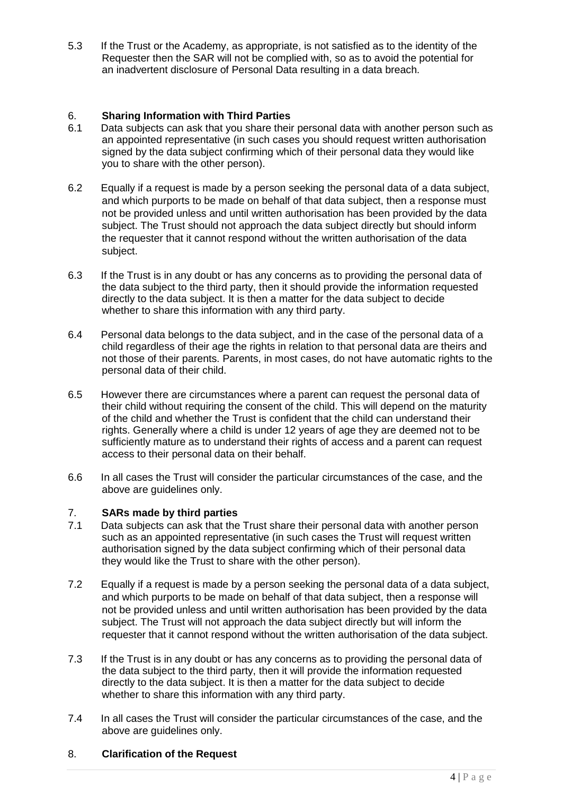5.3 If the Trust or the Academy, as appropriate, is not satisfied as to the identity of the Requester then the SAR will not be complied with, so as to avoid the potential for an inadvertent disclosure of Personal Data resulting in a data breach.

#### 6. **Sharing Information with Third Parties**

- 6.1 Data subjects can ask that you share their personal data with another person such as an appointed representative (in such cases you should request written authorisation signed by the data subject confirming which of their personal data they would like you to share with the other person).
- 6.2 Equally if a request is made by a person seeking the personal data of a data subject, and which purports to be made on behalf of that data subject, then a response must not be provided unless and until written authorisation has been provided by the data subject. The Trust should not approach the data subject directly but should inform the requester that it cannot respond without the written authorisation of the data subject.
- 6.3 If the Trust is in any doubt or has any concerns as to providing the personal data of the data subject to the third party, then it should provide the information requested directly to the data subject. It is then a matter for the data subject to decide whether to share this information with any third party.
- 6.4 Personal data belongs to the data subject, and in the case of the personal data of a child regardless of their age the rights in relation to that personal data are theirs and not those of their parents. Parents, in most cases, do not have automatic rights to the personal data of their child.
- 6.5 However there are circumstances where a parent can request the personal data of their child without requiring the consent of the child. This will depend on the maturity of the child and whether the Trust is confident that the child can understand their rights. Generally where a child is under 12 years of age they are deemed not to be sufficiently mature as to understand their rights of access and a parent can request access to their personal data on their behalf.
- 6.6 In all cases the Trust will consider the particular circumstances of the case, and the above are guidelines only.

## 7. **SARs made by third parties**

- 7.1 Data subjects can ask that the Trust share their personal data with another person such as an appointed representative (in such cases the Trust will request written authorisation signed by the data subject confirming which of their personal data they would like the Trust to share with the other person).
- 7.2 Equally if a request is made by a person seeking the personal data of a data subject, and which purports to be made on behalf of that data subject, then a response will not be provided unless and until written authorisation has been provided by the data subject. The Trust will not approach the data subject directly but will inform the requester that it cannot respond without the written authorisation of the data subject.
- 7.3 If the Trust is in any doubt or has any concerns as to providing the personal data of the data subject to the third party, then it will provide the information requested directly to the data subject. It is then a matter for the data subject to decide whether to share this information with any third party.
- 7.4 In all cases the Trust will consider the particular circumstances of the case, and the above are guidelines only.

#### 8. **Clarification of the Request**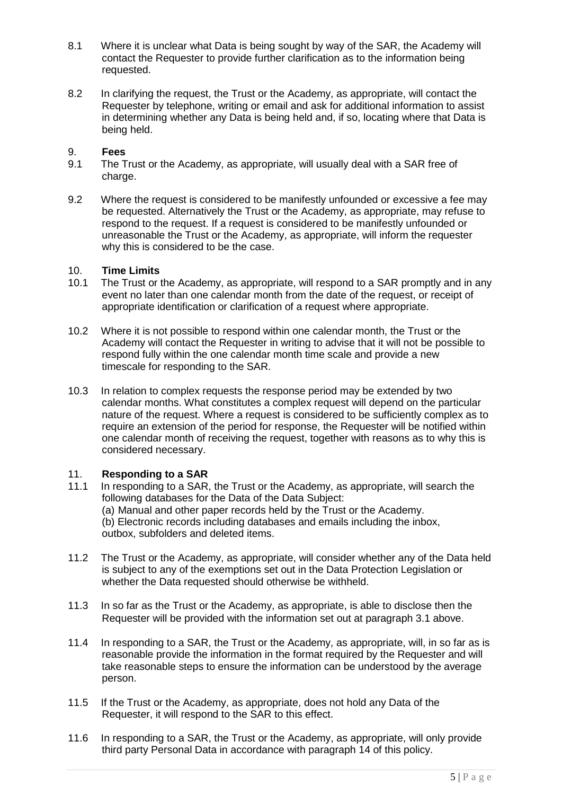- 8.1 Where it is unclear what Data is being sought by way of the SAR, the Academy will contact the Requester to provide further clarification as to the information being requested.
- 8.2 In clarifying the request, the Trust or the Academy, as appropriate, will contact the Requester by telephone, writing or email and ask for additional information to assist in determining whether any Data is being held and, if so, locating where that Data is being held.

#### 9. **Fees**

- 9.1 The Trust or the Academy, as appropriate, will usually deal with a SAR free of charge.
- 9.2 Where the request is considered to be manifestly unfounded or excessive a fee may be requested. Alternatively the Trust or the Academy, as appropriate, may refuse to respond to the request. If a request is considered to be manifestly unfounded or unreasonable the Trust or the Academy, as appropriate, will inform the requester why this is considered to be the case.

#### 10. **Time Limits**

- 10.1 The Trust or the Academy, as appropriate, will respond to a SAR promptly and in any event no later than one calendar month from the date of the request, or receipt of appropriate identification or clarification of a request where appropriate.
- 10.2 Where it is not possible to respond within one calendar month, the Trust or the Academy will contact the Requester in writing to advise that it will not be possible to respond fully within the one calendar month time scale and provide a new timescale for responding to the SAR.
- 10.3 In relation to complex requests the response period may be extended by two calendar months. What constitutes a complex request will depend on the particular nature of the request. Where a request is considered to be sufficiently complex as to require an extension of the period for response, the Requester will be notified within one calendar month of receiving the request, together with reasons as to why this is considered necessary.

#### 11. **Responding to a SAR**

- 11.1 In responding to a SAR, the Trust or the Academy, as appropriate, will search the following databases for the Data of the Data Subject: (a) Manual and other paper records held by the Trust or the Academy. (b) Electronic records including databases and emails including the inbox, outbox, subfolders and deleted items.
- 11.2 The Trust or the Academy, as appropriate, will consider whether any of the Data held is subject to any of the exemptions set out in the Data Protection Legislation or whether the Data requested should otherwise be withheld.
- 11.3 In so far as the Trust or the Academy, as appropriate, is able to disclose then the Requester will be provided with the information set out at paragraph 3.1 above.
- 11.4 In responding to a SAR, the Trust or the Academy, as appropriate, will, in so far as is reasonable provide the information in the format required by the Requester and will take reasonable steps to ensure the information can be understood by the average person.
- 11.5 If the Trust or the Academy, as appropriate, does not hold any Data of the Requester, it will respond to the SAR to this effect.
- 11.6 In responding to a SAR, the Trust or the Academy, as appropriate, will only provide third party Personal Data in accordance with paragraph 14 of this policy.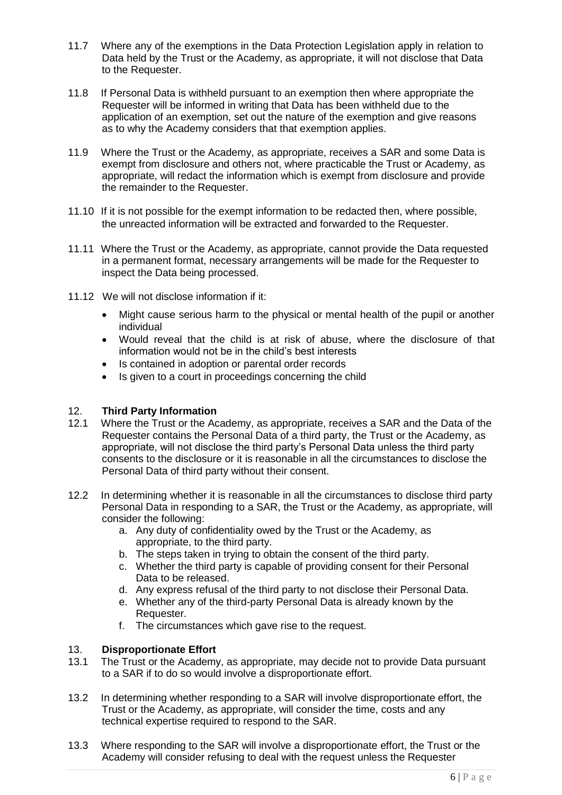- 11.7 Where any of the exemptions in the Data Protection Legislation apply in relation to Data held by the Trust or the Academy, as appropriate, it will not disclose that Data to the Requester.
- 11.8 If Personal Data is withheld pursuant to an exemption then where appropriate the Requester will be informed in writing that Data has been withheld due to the application of an exemption, set out the nature of the exemption and give reasons as to why the Academy considers that that exemption applies.
- 11.9 Where the Trust or the Academy, as appropriate, receives a SAR and some Data is exempt from disclosure and others not, where practicable the Trust or Academy, as appropriate, will redact the information which is exempt from disclosure and provide the remainder to the Requester.
- 11.10 If it is not possible for the exempt information to be redacted then, where possible, the unreacted information will be extracted and forwarded to the Requester.
- 11.11 Where the Trust or the Academy, as appropriate, cannot provide the Data requested in a permanent format, necessary arrangements will be made for the Requester to inspect the Data being processed.
- 11.12 We will not disclose information if it:
	- Might cause serious harm to the physical or mental health of the pupil or another individual
	- Would reveal that the child is at risk of abuse, where the disclosure of that information would not be in the child's best interests
	- Is contained in adoption or parental order records
	- Is given to a court in proceedings concerning the child

#### 12. **Third Party Information**

- 12.1 Where the Trust or the Academy, as appropriate, receives a SAR and the Data of the Requester contains the Personal Data of a third party, the Trust or the Academy, as appropriate, will not disclose the third party's Personal Data unless the third party consents to the disclosure or it is reasonable in all the circumstances to disclose the Personal Data of third party without their consent.
- 12.2 In determining whether it is reasonable in all the circumstances to disclose third party Personal Data in responding to a SAR, the Trust or the Academy, as appropriate, will consider the following:
	- a. Any duty of confidentiality owed by the Trust or the Academy, as appropriate, to the third party.
	- b. The steps taken in trying to obtain the consent of the third party.
	- c. Whether the third party is capable of providing consent for their Personal Data to be released.
	- d. Any express refusal of the third party to not disclose their Personal Data.
	- e. Whether any of the third-party Personal Data is already known by the Requester.
	- f. The circumstances which gave rise to the request.

# 13. **Disproportionate Effort**

- 13.1 The Trust or the Academy, as appropriate, may decide not to provide Data pursuant to a SAR if to do so would involve a disproportionate effort.
- 13.2 In determining whether responding to a SAR will involve disproportionate effort, the Trust or the Academy, as appropriate, will consider the time, costs and any technical expertise required to respond to the SAR.
- 13.3 Where responding to the SAR will involve a disproportionate effort, the Trust or the Academy will consider refusing to deal with the request unless the Requester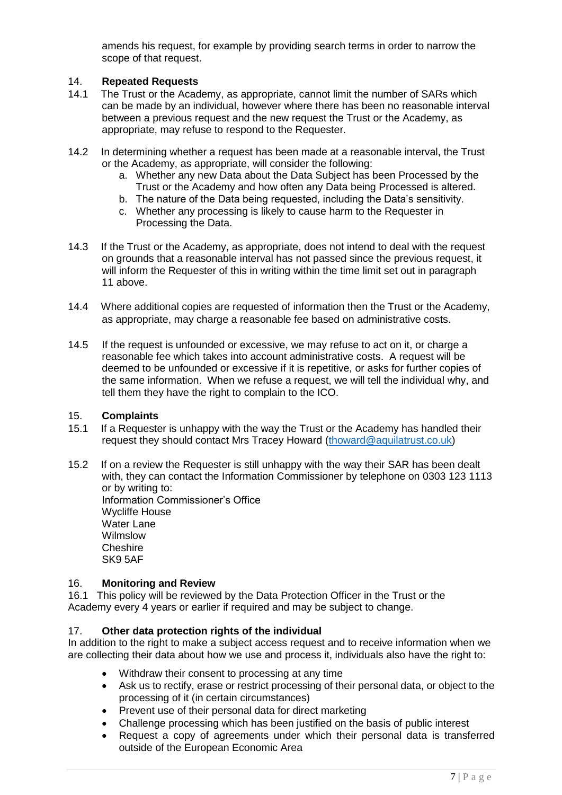amends his request, for example by providing search terms in order to narrow the scope of that request.

#### 14. **Repeated Requests**

- 14.1 The Trust or the Academy, as appropriate, cannot limit the number of SARs which can be made by an individual, however where there has been no reasonable interval between a previous request and the new request the Trust or the Academy, as appropriate, may refuse to respond to the Requester.
- 14.2 In determining whether a request has been made at a reasonable interval, the Trust or the Academy, as appropriate, will consider the following:
	- a. Whether any new Data about the Data Subject has been Processed by the Trust or the Academy and how often any Data being Processed is altered.
	- b. The nature of the Data being requested, including the Data's sensitivity.
	- c. Whether any processing is likely to cause harm to the Requester in Processing the Data.
- 14.3 If the Trust or the Academy, as appropriate, does not intend to deal with the request on grounds that a reasonable interval has not passed since the previous request, it will inform the Requester of this in writing within the time limit set out in paragraph 11 above.
- 14.4 Where additional copies are requested of information then the Trust or the Academy, as appropriate, may charge a reasonable fee based on administrative costs.
- 14.5 If the request is unfounded or excessive, we may refuse to act on it, or charge a reasonable fee which takes into account administrative costs. A request will be deemed to be unfounded or excessive if it is repetitive, or asks for further copies of the same information. When we refuse a request, we will tell the individual why, and tell them they have the right to complain to the ICO.

#### 15. **Complaints**

- 15.1 If a Requester is unhappy with the way the Trust or the Academy has handled their request they should contact Mrs Tracey Howard (thoward@aquilatrust.co.uk)
- 15.2 If on a review the Requester is still unhappy with the way their SAR has been dealt with, they can contact the Information Commissioner by telephone on 0303 123 1113 or by writing to: Information Commissioner's Office Wycliffe House

Water Lane Wilmslow **Cheshire** SK9 5AF

#### 16. **Monitoring and Review**

16.1 This policy will be reviewed by the Data Protection Officer in the Trust or the Academy every 4 years or earlier if required and may be subject to change.

#### 17. **Other data protection rights of the individual**

In addition to the right to make a subject access request and to receive information when we are collecting their data about how we use and process it, individuals also have the right to:

- Withdraw their consent to processing at any time
- Ask us to rectify, erase or restrict processing of their personal data, or object to the processing of it (in certain circumstances)
- Prevent use of their personal data for direct marketing
- Challenge processing which has been justified on the basis of public interest
- Request a copy of agreements under which their personal data is transferred outside of the European Economic Area